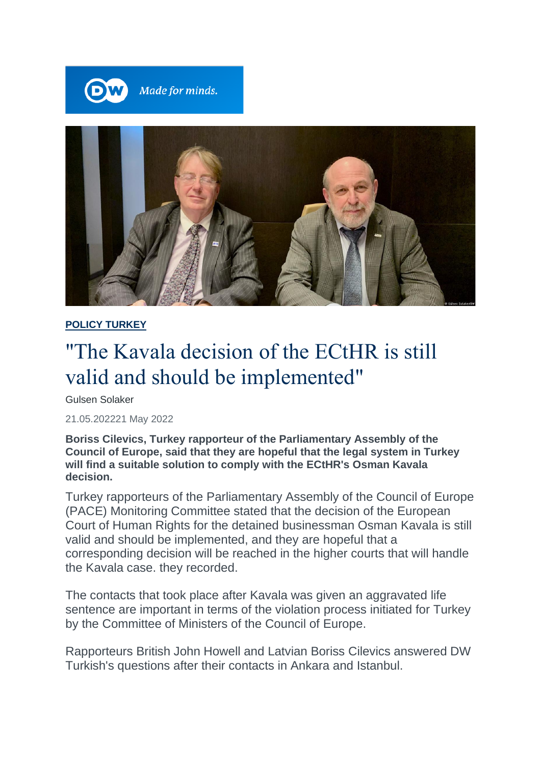



#### **POLICY TURKEY**

# "The Kavala decision of the ECtHR is still valid and should be implemented"

Gulsen Solaker

21.05.202221 May 2022

**Boriss Cilevics, Turkey rapporteur of the Parliamentary Assembly of the Council of Europe, said that they are hopeful that the legal system in Turkey will find a suitable solution to comply with the ECtHR's Osman Kavala decision.**

Turkey rapporteurs of the Parliamentary Assembly of the Council of Europe (PACE) Monitoring Committee stated that the decision of the European Court of Human Rights for the detained businessman Osman Kavala is still valid and should be implemented, and they are hopeful that a corresponding decision will be reached in the higher courts that will handle the Kavala case. they recorded.

The contacts that took place after Kavala was given an aggravated life sentence are important in terms of the violation process initiated for Turkey by the Committee of Ministers of the Council of Europe.

Rapporteurs British John Howell and Latvian Boriss Cilevics answered DW Turkish's questions after their contacts in Ankara and Istanbul.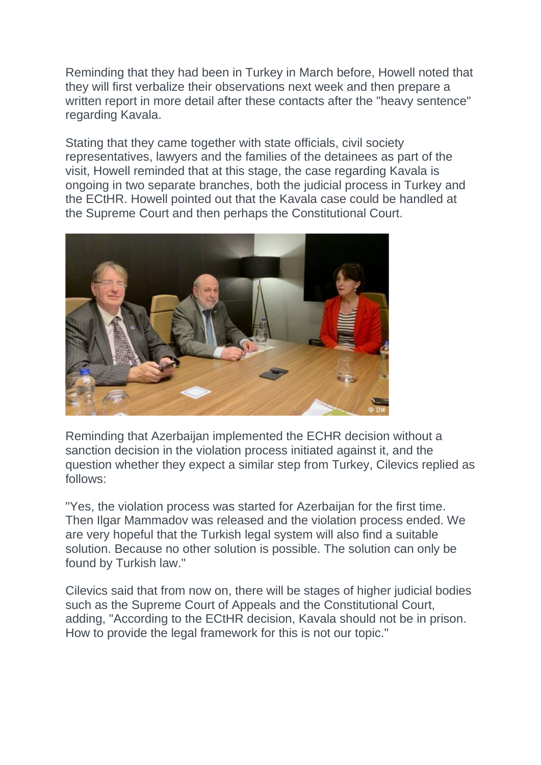Reminding that they had been in Turkey in March before, Howell noted that they will first verbalize their observations next week and then prepare a written report in more detail after these contacts after the "heavy sentence" regarding Kavala.

Stating that they came together with state officials, civil society representatives, lawyers and the families of the detainees as part of the visit, Howell reminded that at this stage, the case regarding Kavala is ongoing in two separate branches, both the judicial process in Turkey and the ECtHR. Howell pointed out that the Kavala case could be handled at the Supreme Court and then perhaps the Constitutional Court.



Reminding that Azerbaijan implemented the ECHR decision without a sanction decision in the violation process initiated against it, and the question whether they expect a similar step from Turkey, Cilevics replied as follows:

"Yes, the violation process was started for Azerbaijan for the first time. Then Ilgar Mammadov was released and the violation process ended. We are very hopeful that the Turkish legal system will also find a suitable solution. Because no other solution is possible. The solution can only be found by Turkish law."

Cilevics said that from now on, there will be stages of higher judicial bodies such as the Supreme Court of Appeals and the Constitutional Court, adding, "According to the ECtHR decision, Kavala should not be in prison. How to provide the legal framework for this is not our topic."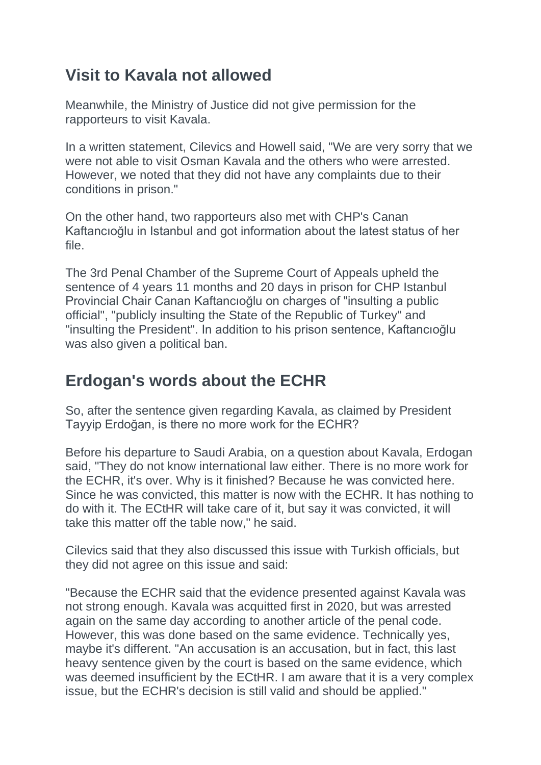## **Visit to Kavala not allowed**

Meanwhile, the Ministry of Justice did not give permission for the rapporteurs to visit Kavala.

In a written statement, Cilevics and Howell said, "We are very sorry that we were not able to visit Osman Kavala and the others who were arrested. However, we noted that they did not have any complaints due to their conditions in prison."

On the other hand, two rapporteurs also met with CHP's Canan Kaftancıoğlu in Istanbul and got information about the latest status of her file.

The 3rd Penal Chamber of the Supreme Court of Appeals upheld the sentence of 4 years 11 months and 20 days in prison for CHP Istanbul Provincial Chair Canan Kaftancıoğlu on charges of "insulting a public official", "publicly insulting the State of the Republic of Turkey" and "insulting the President". In addition to his prison sentence, Kaftancıoğlu was also given a political ban.

## **Erdogan's words about the ECHR**

So, after the sentence given regarding Kavala, as claimed by President Tayyip Erdoğan, is there no more work for the ECHR?

Before his departure to Saudi Arabia, on a question about Kavala, Erdogan said, "They do not know international law either. There is no more work for the ECHR, it's over. Why is it finished? Because he was convicted here. Since he was convicted, this matter is now with the ECHR. It has nothing to do with it. The ECtHR will take care of it, but say it was convicted, it will take this matter off the table now," he said.

Cilevics said that they also discussed this issue with Turkish officials, but they did not agree on this issue and said:

"Because the ECHR said that the evidence presented against Kavala was not strong enough. Kavala was acquitted first in 2020, but was arrested again on the same day according to another article of the penal code. However, this was done based on the same evidence. Technically yes, maybe it's different. "An accusation is an accusation, but in fact, this last heavy sentence given by the court is based on the same evidence, which was deemed insufficient by the ECtHR. I am aware that it is a very complex issue, but the ECHR's decision is still valid and should be applied."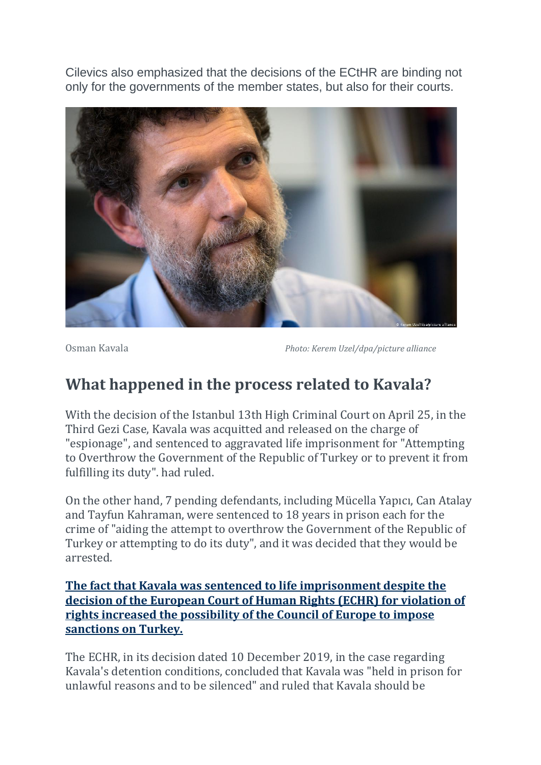Cilevics also emphasized that the decisions of the ECtHR are binding not only for the governments of the member states, but also for their courts.



#### **What happened in the process related to Kavala?**

With the decision of the Istanbul 13th High Criminal Court on April 25, in the Third Gezi Case, Kavala was acquitted and released on the charge of "espionage", and sentenced to aggravated life imprisonment for "Attempting to Overthrow the Government of the Republic of Turkey or to prevent it from fulfilling its duty". had ruled.

On the other hand, 7 pending defendants, including Mücella Yapıcı, Can Atalay and Tayfun Kahraman, were sentenced to 18 years in prison each for the crime of "aiding the attempt to overthrow the Government of the Republic of Turkey or attempting to do its duty", and it was decided that they would be arrested.

**The fact that Kavala was sentenced to life imprisonment despite the decision of the European Court of Human Rights (ECHR) for violation of rights increased the possibility of the Council of Europe to impose sanctions on Turkey.**

The ECHR, in its decision dated 10 December 2019, in the case regarding Kavala's detention conditions, concluded that Kavala was "held in prison for unlawful reasons and to be silenced" and ruled that Kavala should be

Osman Kavala *Photo: Kerem Uzel/dpa/picture alliance*